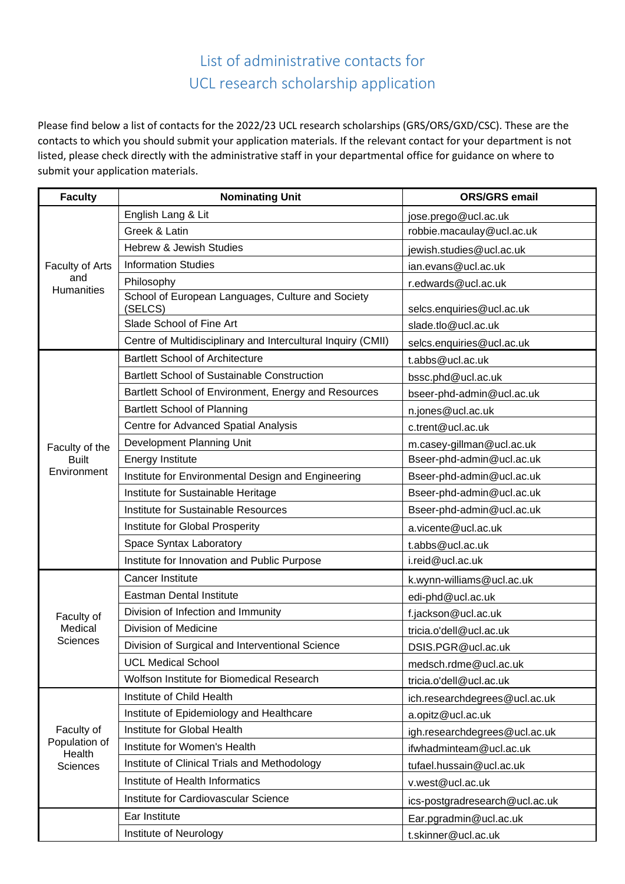## List of administrative contacts for UCL research scholarship application

Please find below a list of contacts for the 2022/23 UCL research scholarships (GRS/ORS/GXD/CSC). These are the contacts to which you should submit your application materials. If the relevant contact for your department is not listed, please check directly with the administrative staff in your departmental office for guidance on where to submit your application materials.

| <b>Faculty</b>                                           | <b>Nominating Unit</b>                                       | <b>ORS/GRS email</b>           |
|----------------------------------------------------------|--------------------------------------------------------------|--------------------------------|
| Faculty of Arts<br>and<br><b>Humanities</b>              | English Lang & Lit                                           | jose.prego@ucl.ac.uk           |
|                                                          | Greek & Latin                                                | robbie.macaulay@ucl.ac.uk      |
|                                                          | <b>Hebrew &amp; Jewish Studies</b>                           | jewish.studies@ucl.ac.uk       |
|                                                          | <b>Information Studies</b>                                   | ian.evans@ucl.ac.uk            |
|                                                          | Philosophy                                                   | r.edwards@ucl.ac.uk            |
|                                                          | School of European Languages, Culture and Society<br>(SELCS) | selcs.enquiries@ucl.ac.uk      |
|                                                          | Slade School of Fine Art                                     | slade.tlo@ucl.ac.uk            |
|                                                          | Centre of Multidisciplinary and Intercultural Inquiry (CMII) | selcs.enquiries@ucl.ac.uk      |
|                                                          | <b>Bartlett School of Architecture</b>                       | t.abbs@ucl.ac.uk               |
|                                                          | <b>Bartlett School of Sustainable Construction</b>           | bssc.phd@ucl.ac.uk             |
|                                                          | Bartlett School of Environment, Energy and Resources         | bseer-phd-admin@ucl.ac.uk      |
|                                                          | <b>Bartlett School of Planning</b>                           | n.jones@ucl.ac.uk              |
|                                                          | Centre for Advanced Spatial Analysis                         | c.trent@ucl.ac.uk              |
| Faculty of the                                           | Development Planning Unit                                    | m.casey-gillman@ucl.ac.uk      |
| <b>Built</b>                                             | <b>Energy Institute</b>                                      | Bseer-phd-admin@ucl.ac.uk      |
| Environment                                              | Institute for Environmental Design and Engineering           | Bseer-phd-admin@ucl.ac.uk      |
|                                                          | Institute for Sustainable Heritage                           | Bseer-phd-admin@ucl.ac.uk      |
|                                                          | Institute for Sustainable Resources                          | Bseer-phd-admin@ucl.ac.uk      |
|                                                          | Institute for Global Prosperity                              | a.vicente@ucl.ac.uk            |
|                                                          | Space Syntax Laboratory                                      | t.abbs@ucl.ac.uk               |
|                                                          | Institute for Innovation and Public Purpose                  | i.reid@ucl.ac.uk               |
|                                                          | <b>Cancer Institute</b>                                      | k.wynn-williams@ucl.ac.uk      |
|                                                          | <b>Eastman Dental Institute</b>                              | edi-phd@ucl.ac.uk              |
| Faculty of                                               | Division of Infection and Immunity                           | f.jackson@ucl.ac.uk            |
| Medical                                                  | Division of Medicine                                         | tricia.o'dell@ucl.ac.uk        |
| <b>Sciences</b>                                          | Division of Surgical and Interventional Science              | DSIS.PGR@ucl.ac.uk             |
|                                                          | <b>UCL Medical School</b>                                    | medsch.rdme@ucl.ac.uk          |
|                                                          | Wolfson Institute for Biomedical Research                    | tricia.o'dell@ucl.ac.uk        |
| Faculty of<br>Population of<br>Health<br><b>Sciences</b> | Institute of Child Health                                    | ich.researchdegrees@ucl.ac.uk  |
|                                                          | Institute of Epidemiology and Healthcare                     | a.opitz@ucl.ac.uk              |
|                                                          | Institute for Global Health                                  | igh.researchdegrees@ucl.ac.uk  |
|                                                          | Institute for Women's Health                                 | ifwhadminteam@ucl.ac.uk        |
|                                                          | Institute of Clinical Trials and Methodology                 | tufael.hussain@ucl.ac.uk       |
|                                                          | Institute of Health Informatics                              | v.west@ucl.ac.uk               |
|                                                          | Institute for Cardiovascular Science                         | ics-postgradresearch@ucl.ac.uk |
|                                                          | Ear Institute                                                | Ear.pgradmin@ucl.ac.uk         |
|                                                          | Institute of Neurology                                       | t.skinner@ucl.ac.uk            |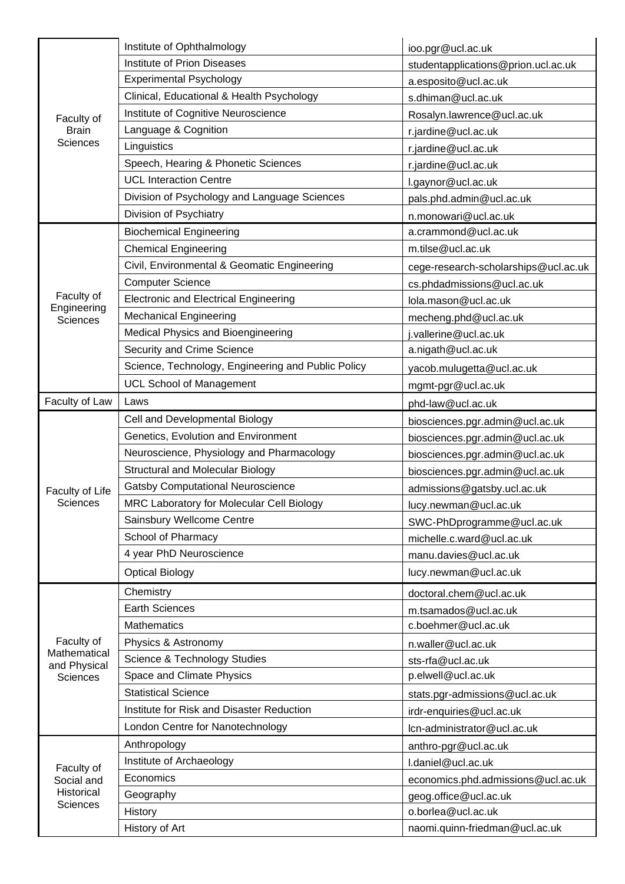|                                                           | Institute of Ophthalmology                         | ioo.pgr@ucl.ac.uk                    |
|-----------------------------------------------------------|----------------------------------------------------|--------------------------------------|
|                                                           | <b>Institute of Prion Diseases</b>                 | studentapplications@prion.ucl.ac.uk  |
|                                                           | <b>Experimental Psychology</b>                     | a.esposito@ucl.ac.uk                 |
|                                                           | Clinical, Educational & Health Psychology          | s.dhiman@ucl.ac.uk                   |
| Faculty of                                                | Institute of Cognitive Neuroscience                | Rosalyn.lawrence@ucl.ac.uk           |
| <b>Brain</b><br><b>Sciences</b>                           | Language & Cognition                               | r.jardine@ucl.ac.uk                  |
|                                                           | Linguistics                                        | r.jardine@ucl.ac.uk                  |
|                                                           | Speech, Hearing & Phonetic Sciences                | r.jardine@ucl.ac.uk                  |
|                                                           | <b>UCL Interaction Centre</b>                      | l.gaynor@ucl.ac.uk                   |
|                                                           | Division of Psychology and Language Sciences       | pals.phd.admin@ucl.ac.uk             |
|                                                           | Division of Psychiatry                             | n.monowari@ucl.ac.uk                 |
|                                                           | <b>Biochemical Engineering</b>                     | a.crammond@ucl.ac.uk                 |
|                                                           | <b>Chemical Engineering</b>                        | m.tilse@ucl.ac.uk                    |
|                                                           | Civil, Environmental & Geomatic Engineering        | cege-research-scholarships@ucl.ac.uk |
|                                                           | <b>Computer Science</b>                            | cs.phdadmissions@ucl.ac.uk           |
| Faculty of                                                | <b>Electronic and Electrical Engineering</b>       | lola.mason@ucl.ac.uk                 |
| Engineering<br><b>Sciences</b>                            | <b>Mechanical Engineering</b>                      | mecheng.phd@ucl.ac.uk                |
|                                                           | Medical Physics and Bioengineering                 | j.vallerine@ucl.ac.uk                |
|                                                           | Security and Crime Science                         | a.nigath@ucl.ac.uk                   |
|                                                           | Science, Technology, Engineering and Public Policy | yacob.mulugetta@ucl.ac.uk            |
|                                                           | <b>UCL School of Management</b>                    | mgmt-pgr@ucl.ac.uk                   |
| Faculty of Law                                            | Laws                                               | phd-law@ucl.ac.uk                    |
|                                                           | Cell and Developmental Biology                     | biosciences.pgr.admin@ucl.ac.uk      |
|                                                           | Genetics, Evolution and Environment                | biosciences.pgr.admin@ucl.ac.uk      |
|                                                           | Neuroscience, Physiology and Pharmacology          | biosciences.pgr.admin@ucl.ac.uk      |
|                                                           | <b>Structural and Molecular Biology</b>            | biosciences.pgr.admin@ucl.ac.uk      |
| Faculty of Life                                           | <b>Gatsby Computational Neuroscience</b>           | admissions@gatsby.ucl.ac.uk          |
| <b>Sciences</b>                                           | MRC Laboratory for Molecular Cell Biology          | lucy.newman@ucl.ac.uk                |
|                                                           | Sainsbury Wellcome Centre                          | SWC-PhDprogramme@ucl.ac.uk           |
|                                                           | School of Pharmacy                                 | michelle.c.ward@ucl.ac.uk            |
|                                                           | 4 year PhD Neuroscience                            | manu.davies@ucl.ac.uk                |
|                                                           | <b>Optical Biology</b>                             | lucy.newman@ucl.ac.uk                |
|                                                           | Chemistry                                          | doctoral.chem@ucl.ac.uk              |
|                                                           | <b>Earth Sciences</b>                              | m.tsamados@ucl.ac.uk                 |
|                                                           | <b>Mathematics</b>                                 | c.boehmer@ucl.ac.uk                  |
| Faculty of                                                | Physics & Astronomy                                | n.waller@ucl.ac.uk                   |
| Mathematical<br>and Physical<br><b>Sciences</b>           | Science & Technology Studies                       | sts-rfa@ucl.ac.uk                    |
|                                                           | Space and Climate Physics                          | p.elwell@ucl.ac.uk                   |
|                                                           | <b>Statistical Science</b>                         | stats.pgr-admissions@ucl.ac.uk       |
|                                                           | Institute for Risk and Disaster Reduction          | irdr-enquiries@ucl.ac.uk             |
|                                                           | London Centre for Nanotechnology                   | Icn-administrator@ucl.ac.uk          |
| Faculty of<br>Social and<br>Historical<br><b>Sciences</b> | Anthropology                                       | anthro-pgr@ucl.ac.uk                 |
|                                                           | Institute of Archaeology                           | l.daniel@ucl.ac.uk                   |
|                                                           | Economics                                          | economics.phd.admissions@ucl.ac.uk   |
|                                                           | Geography                                          | geog.office@ucl.ac.uk                |
|                                                           | History                                            | o.borlea@ucl.ac.uk                   |
|                                                           | History of Art                                     | naomi.quinn-friedman@ucl.ac.uk       |
|                                                           |                                                    |                                      |